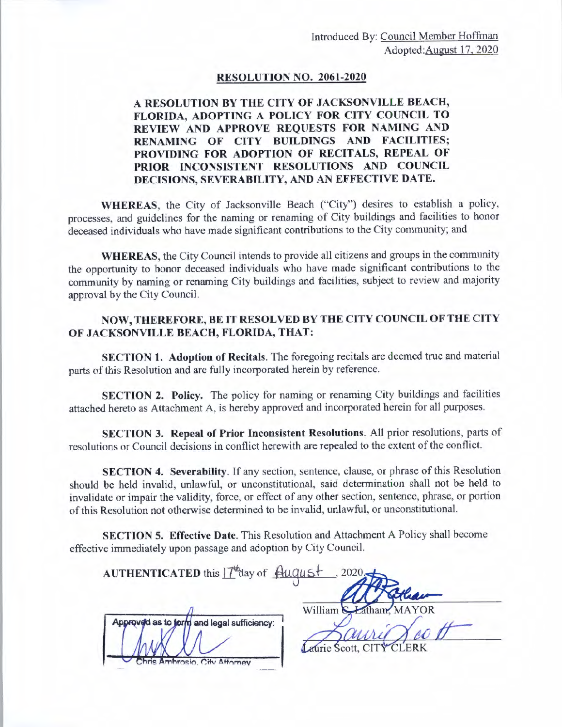## **RESOLUTION NO. 2061-2020**

## **A RESOLUTION BY THE CITY OF JACKSONVILLE BEACH, FLORIDA, ADOPTING A POLICY FOR CITY COUNCIL TO REVIEW AND APPROVE REQUESTS FOR NAMING AND RENAMING OF CITY BUILDINGS AND FACILITIES; PROVIDING FOR ADOPTION OF RECITALS, REPEAL OF PRIOR INCONSISTENT RESOLUTIONS AND COUNCIL DECISIONS, SEVERABILITY, AND AN EFFECTIVE DATE.**

**WHEREAS,** the City of Jacksonville Beach ("City") desires to establish a policy, processes, and guidelines for the naming or renaming of City buildings and facilities to honor deceased individuals who have made significant contributions to the City community; and

**WHEREAS,** the City Council intends to provide all citizens and groups in the community the opportunity to honor deceased individuals who have made significant contributions to the community by naming or renaming City buildings and facilities, subject to review and majority approval by the City Council.

## **NOW, THEREFORE, BE IT RESOLVED BY THE CITY COUNCIL OF THE CITY OF JACKSONVILLE BEACH, FLORIDA, THAT:**

**SECTION 1. Adoption of Recitals.** The foregoing recitals are deemed true and material parts of this Resolution and are fully incorporated herein by reference.

**SECTION 2. Policy.** The policy for naming or renaming City buildings and facilities attached hereto as Attachment A, is hereby approved and incorporated herein for all purposes.

**SECTION 3. Repeal of Prior Inconsistent Resolutions.** All prior resolutions, parts of resolutions or Council decisions in conflict herewith are repealed to the extent of the conflict.

**SECTION 4. Severability.** If any section, sentence, clause, or phrase of this Resolution should be held invalid, unlawful, or unconstitutional, said determination shall not be held to invalidate or impair the validity, force, or effect of any other section, sentence, phrase, or portion of this Resolution not otherwise determined to be invalid, unlawful, or unconstitutional.

**SECTION 5. Effective Date.** This Resolution and Attachment A Policy shall become effective immediately upon passage and adoption by City Council.

| AUTHENTICATED this IT day of August        | ,2020.                   |
|--------------------------------------------|--------------------------|
| Approved as to form and legal sufficiency: | William & Latham, MAYOR  |
| Chris Amhrosio, City Attorney              | Laurie Scott, CITY CLERK |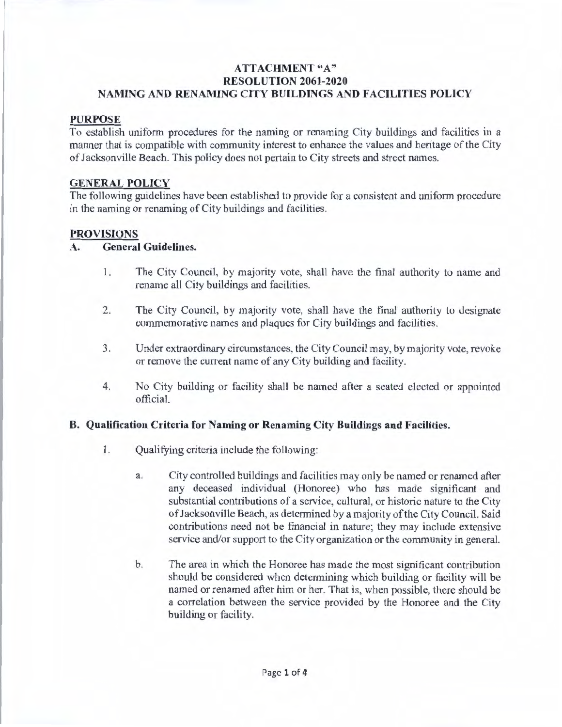## **ATTACHMENT "A" RESOLUTION 2061-2020 NAMING AND RENAMING CITY BUILDINGS AND FACILITIES POLICY**

#### **PURPOSE**

To establish uniform procedures for the naming or renaming City buildings and facilities in a manner that is compatible with community interest to enhance the values and heritage of the City of Jacksonville Beach. This policy does not pertain to City streets and street names.

#### **GENERAL POLICY**

The following guidelines have been established to provide for a consistent and uniform procedure in the naming or renaming of City buildings and facilities.

#### **PROVISIONS**

#### **A. General Guidelines.**

- 1. The City Council, by majority vote, shall have the final authority to name and rename all City buildings and facilities.
- 2. The City Council, by majority vote, shall have the final authority to designate commemorative names and plaques for City buildings and facilities.
- 3. Under extraordinary circumstances, the City Council may, by majority vote, revoke or remove the current name of any City building and facility.
- 4. No City building or facility shall be named after a seated elected or appointed official.

#### **8. Qualification Criteria for Naming or Renaming City Buildings and Facilities.**

- I. Qualifying criteria include the following:
	- a. City controlled buildings and facilities may only be named or renamed after any deceased individual (Honoree) who has made significant and substantial contributions of a service, cultural, or historic nature to the City of Jacksonville Beach, as determined by a majority of the City Council. Said contributions need not be financial in nature; they may include extensive service and/or support to the City organization or the community in general.
	- b. The area in which the Honoree has made the most significant contribution should be considered when determining which building or facility will be named or renamed after him or her. That is, when possible, there should be a correlation between the service provided by the Honoree and the City building or facility.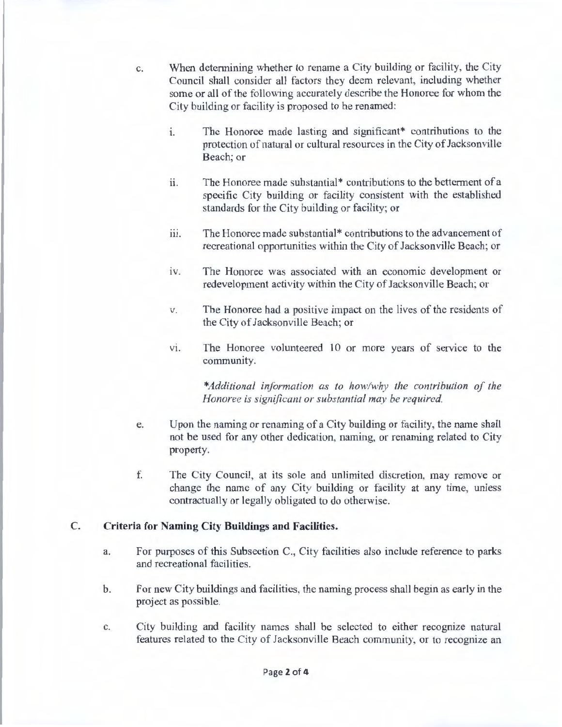c. When determining whether to rename a City building or facility, the City Council shall consider all factors they deem relevant, including whether some or all of the following accurately describe the Honoree for whom the City building or facility is proposed to be renamed:

- 1. The Honoree made lasting and significant\* contributions to the protection of natural or cultural resources in the City of Jacksonville Beach; or
- 11. The Honoree made substantial\* contributions to the betterment of a specific City building or facility consistent with the established standards for the City building or facility; or
- iii. The Honoree made substantial\* contributions to the advancement of recreational opportunities within the City of Jacksonville Beach; or
- iv. The Honoree was associated with an economic development or redevelopment activity within the City of Jacksonville Beach; or
- v. The Honoree had a positive impact on the lives of the residents of the City of Jacksonville Beach; or
- vi. The Honoree volunteered 10 or more years of service to the community.

\*Additional information as to how/why the contribution of the *Honoree is significant or substantial may be required.* 

- e. Upon the naming or renaming of a City building or facility, the name shall not be used for any other dedication, naming, or renaming related to City property.
- f. The City Council, at its sole and unlimited discretion, may remove or change the name of any City building or facility at any time, unless contractually or legally obligated to do otherwise.

## **C. Criteria for Naming City Buildings and Facilities.**

- a. For purposes of this Subsection C., City facilities also include reference to parks and recreational facilities.
- b. For new City buildings and facilities, the naming process shall begin as early in the project as possible.
- c. City building and facility names shall be selected to either recognize natural features related to the City of Jacksonville Beach community, or to recognize an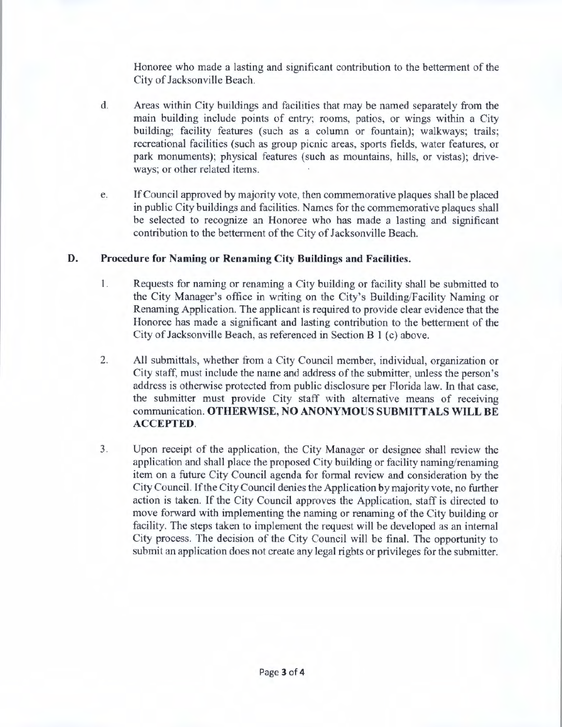Honoree who made a lasting and significant contribution to the betterment of the City of Jacksonville Beach.

- d. Areas within City buildings and facilities that may be named separately from the main building include points of entry; rooms, patios, or wings within a City building; facility features (such as a column or fountain); walkways; trails; recreational facilities (such as group picnic areas, sports fields, water features, or park monuments); physical features (such as mountains, hills, or vistas); driveways; or other related items.
- e. If Council approved by majority vote, then commemorative plaques shall be placed in public City buildings and facilities. Names for the commemorative plaques shall be selected to recognize an Honoree who has made a lasting and significant contribution to the bettennent of the City of Jacksonville Beach.

## **D. Procedure for Naming or Renaming City Buildings and Facilities.**

- **l.** Requests for naming or renaming a City building or facility shall be submitted to the City Manager's office in writing on the City's Building/Facility Naming or Renaming Application. The applicant is required to provide clear evidence that the Honoree has made a significant and lasting contribution to the betterment of the City of Jacksonville Beach, as referenced in Section B 1 (c) above.
- 2. All submittals, whether from a City Council member, individual, organization or City staff, must include the name and address of the submitter, unless the person's address is otherwise protected from public disclosure per Florida law. In that case, the submitter must provide City staff with alternative means of receiving communication. **OTHERWISE, NO ANONYMOUS SUBMITT ALS WILL BE ACCEPTED.**
- 3. Upon receipt of the application, the City Manager or designee shall review the application and shall place the proposed City building or facility naming/renaming item on a future City Council agenda for formal review and consideration by the City Council. If the City Council denies the Application by majority vote, no further action is taken. If the City Council approves the Application, staff is directed to move forward with implementing the naming or renaming of the City building or facility. The steps taken to implement the request will be developed as an internal City process. The decision of the City Council will be final. The opportunity to submit an application does not create any legal rights or privileges for the submitter.